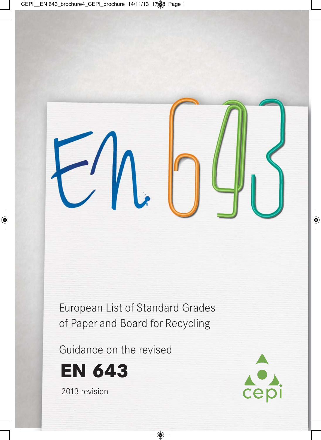

European List of Standard Grades of Paper and Board for Recycling

Guidance on the revised



2013 revision

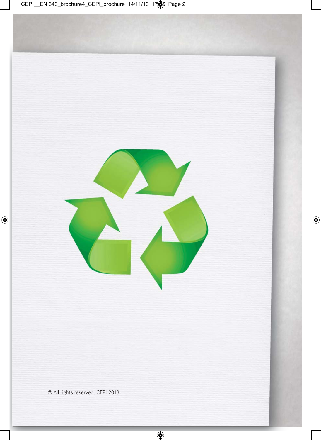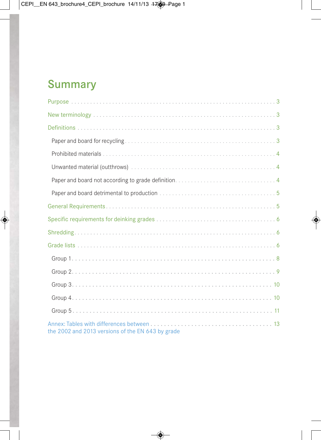# **Summary**

| the 2002 and 2013 versions of the EN 643 by grade |
|---------------------------------------------------|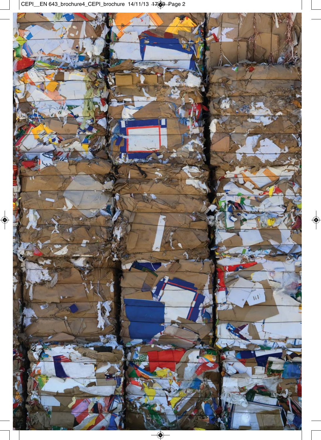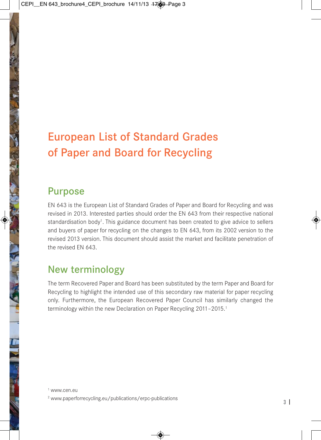# European List of Standard Grades of Paper and Board for Recycling

## Purpose

EN 643 is the European List of Standard Grades of Paper and Board for Recycling and was revised in 2013. Interested parties should order the EN 643 from their respective national standardisation body<sup>1</sup>. This guidance document has been created to give advice to sellers and buyers of paper for recycling on the changes to EN 643, from its 2002 version to the revised 2013 version. This document should assist the market and facilitate penetration of the revised EN 643.

## New terminology

The term Recovered Paper and Board has been substituted by the term Paper and Board for Recycling to highlight the intended use of this secondary raw material for paper recycling only. Furthermore, the European Recovered Paper Council has similarly changed the terminology within the new Declaration on Paper Recycling 2011-2015.<sup>1</sup>

<sup>1</sup> www.cen.eu <sup>2</sup> www.paperforrecycling.eu/publications/erpc-publications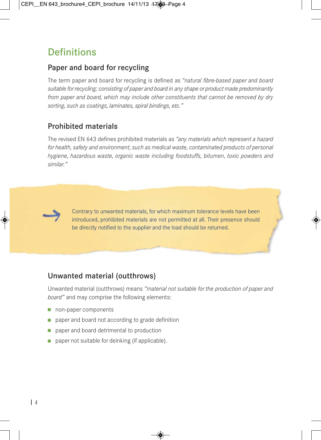## **Definitions**

### Paper and board for recycling

The term paper and board for recycling is defined as *"natural fibre-based paper and board suitable for recycling; consisting of paper and board in any shape or product made predominantly from paper and board, which may include other constituents that cannot be removed by dry sorting, such as coatings, laminates, spiral bindings, etc."*

#### Prohibited materials

The revised EN 643 defines prohibited materials as *"any materials which represent a hazard for health, safety and environment, such as medical waste, contaminated products of personal hygiene, hazardous waste, organic waste including foodstuffs, bitumen, toxic powders and similar."* 



Contrary to unwanted materials, for which maximum tolerance levels have been introduced, prohibited materials are not permitted at all. Their presence should be directly notified to the supplier and the load should be returned.

#### Unwanted material (outthrows)

Unwanted material (outthrows) means *"material not suitable for the production of paper and board"* and may comprise the following elements:

- non-paper components
- paper and board not according to grade definition
- paper and board detrimental to production
- paper not suitable for deinking (if applicable).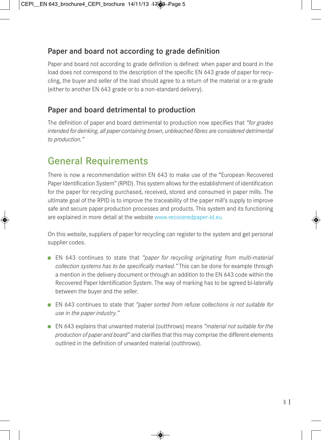### Paper and board not according to grade definition

Paper and board not according to grade definition is defined: when paper and board in the load does not correspond to the description of the specific EN 643 grade of paper for recycling, the buyer and seller of the load should agree to a return of the material or a re-grade (either to another EN 643 grade or to a non-standard delivery).

#### Paper and board detrimental to production

The definition of paper and board detrimental to production now specifies that *"for grades intended for deinking, all paper containing brown, unbleached fibres are considered detrimental to production."* 

## General Requirements

There is now a recommendation within EN 643 to make use of the "European Recovered Paper Identification System" (RPID). This system allows for the establishment of identification for the paper for recycling purchased, received, stored and consumed in paper mills. The ultimate goal of the RPID is to improve the traceability of the paper mill's supply to improve safe and secure paper production processes and products. This system and its functioning are explained in more detail at the website www.recoveredpaper-id.eu

On this website, suppliers of paper for recycling can register to the system and get personal supplier codes.

- EN 643 continues to state that *"paper for recycling originating from multi-material collection systems has to be specifically marked."* This can be done for example through a mention in the delivery document or through an addition to the EN 643 code within the Recovered Paper Identification System. The way of marking has to be agreed bi-laterally between the buyer and the seller.
- EN 643 continues to state that *"paper sorted from refuse collections is not suitable for use in the paper industry."*
- EN 643 explains that unwanted material (outthrows) means *"material not suitable for the production of paper and board"* and clarifies that this may comprise the different elements outlined in the definition of unwanted material (outthrows).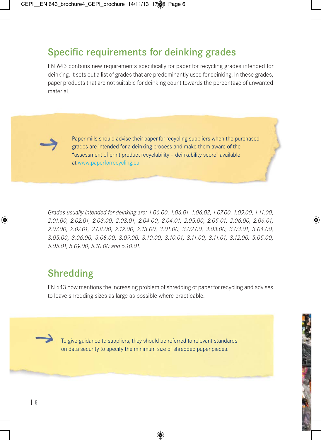## Specific requirements for deinking grades

EN 643 contains new requirements specifically for paper for recycling grades intended for deinking. It sets out a list of grades that are predominantly used for deinking. In these grades, paper products that are not suitable for deinking count towards the percentage of unwanted material.



Paper mills should advise their paper for recycling suppliers when the purchased grades are intended for a deinking process and make them aware of the "assessment of print product recyclability – deinkability score" available at www.paperforrecycling.eu

*Grades usually intended for deinking are: 1.06.00, 1.06.01, 1.06.02, 1.07.00, 1.09.00, 1.11.00, 2.01.00, 2.02.01, 2.03.00, 2.03.01, 2.04.00, 2.04.01, 2.05.00, 2.05.01, 2.06.00, 2.06.01, 2.07.00, 2.07.01, 2.08.00, 2.12.00, 2.13.00, 3.01.00, 3.02.00, 3.03.00, 3.03.01, 3.04.00, 3.05.00, 3.06.00, 3.08.00, 3.09.00, 3.10.00, 3.10.01, 3.11.00, 3.11.01, 3.12.00, 5.05.00, 5.05.01, 5.09.00, 5.10.00 and 5.10.01.*

## Shredding

EN 643 now mentions the increasing problem of shredding of paper for recycling and advises to leave shredding sizes as large as possible where practicable.

To give guidance to suppliers, they should be referred to relevant standards on data security to specify the minimum size of shredded paper pieces.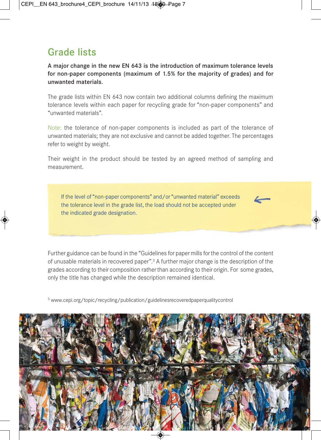## Grade lists

A major change in the new EN 643 is the introduction of maximum tolerance levels for non-paper components (maximum of 1.5% for the majority of grades) and for unwanted materials.

The grade lists within EN 643 now contain two additional columns defining the maximum tolerance levels within each paper for recycling grade for "non-paper components" and "unwanted materials".

Note: the tolerance of non-paper components is included as part of the tolerance of unwanted materials; they are not exclusive and cannot be added together. The percentages refer to weight by weight.

Their weight in the product should be tested by an agreed method of sampling and measurement.

If the level of "non-paper components" and/or "unwanted material" exceeds the tolerance level in the grade list, the load should not be accepted under the indicated grade designation.



Further guidance can be found in the "Guidelines for paper mills for the control of the content of unusable materials in recovered paper".3 A further major change is the description of the grades according to their composition rather than according to their origin. For some grades, only the title has changed while the description remained identical.

<sup>3</sup> www.cepi.org/topic/recycling/publication/guidelinesrecoveredpaperqualitycontrol

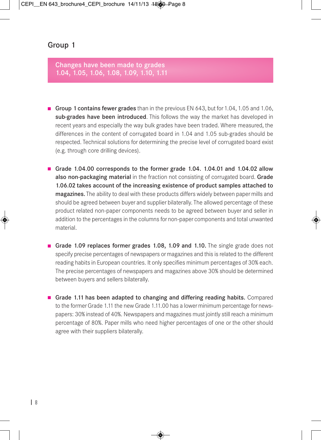Changes have been made to grades 1.04, 1.05, 1.06, 1.08, 1.09, 1.10, 1.11

- Group 1 contains fewer grades than in the previous EN 643, but for 1.04, 1.05 and 1.06, sub-grades have been introduced. This follows the way the market has developed in recent years and especially the way bulk grades have been traded. Where measured, the differences in the content of corrugated board in 1.04 and 1.05 sub-grades should be respected. Technical solutions for determining the precise level of corrugated board exist (e.g. through core drilling devices).
- Grade 1.04.00 corresponds to the former grade 1.04. 1.04.01 and 1.04.02 allow also non-packaging material in the fraction not consisting of corrugated board. Grade 1.06.02 takes account of the increasing existence of product samples attached to magazines. The ability to deal with these products differs widely between paper mills and should be agreed between buyer and supplier bilaterally. The allowed percentage of these product related non-paper components needs to be agreed between buyer and seller in addition to the percentages in the columns for non-paper components and total unwanted material.
- Grade 1.09 replaces former grades 1.08, 1.09 and 1.10. The single grade does not specify precise percentages of newspapers or magazines and this is related to the different reading habits in European countries. It only specifies minimum percentages of 30% each. The precise percentages of newspapers and magazines above 30% should be determined between buyers and sellers bilaterally.
- Grade 1.11 has been adapted to changing and differing reading habits. Compared to the former Grade 1.11 the new Grade 1.11.00 has a lower minimum percentage for newspapers: 30% instead of 40%. Newspapers and magazines must jointly still reach a minimum percentage of 80%. Paper mills who need higher percentages of one or the other should agree with their suppliers bilaterally.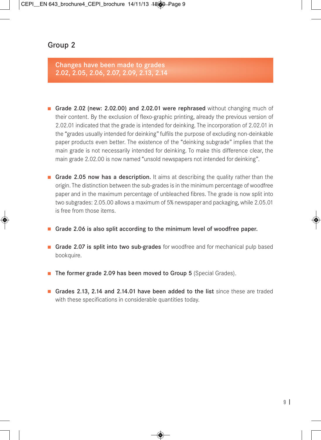Changes have been made to grades 2.02, 2.05, 2.06, 2.07, 2.09, 2.13, 2.14

- Grade 2.02 (new: 2.02.00) and 2.02.01 were rephrased without changing much of their content. By the exclusion of flexo-graphic printing, already the previous version of 2.02.01 indicated that the grade is intended for deinking. The incorporation of 2.02.01 in the "grades usually intended for deinking" fulfils the purpose of excluding non-deinkable paper products even better. The existence of the "deinking subgrade" implies that the main grade is not necessarily intended for deinking. To make this difference clear, the main grade 2.02.00 is now named "unsold newspapers not intended for deinking".
- Grade 2.05 now has a description. It aims at describing the quality rather than the origin. The distinction between the sub-grades is in the minimum percentage of woodfree paper and in the maximum percentage of unbleached fibres. The grade is now split into two subgrades: 2.05.00 allows a maximum of 5% newspaper and packaging, while 2.05.01 is free from those items.
- Grade 2.06 is also split according to the minimum level of woodfree paper.
- Grade 2.07 is split into two sub-grades for woodfree and for mechanical pulp based bookquire.
- The former grade 2.09 has been moved to Group 5 (Special Grades).
- Grades 2.13, 2.14 and 2.14.01 have been added to the list since these are traded with these specifications in considerable quantities today.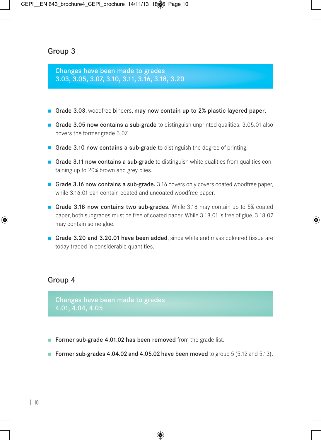Changes have been made to grades 3.03, 3.05, 3.07, 3.10, 3.11, 3.16, 3.18, 3.20

- Grade 3.03, woodfree binders, may now contain up to 2% plastic layered paper.
- Grade 3.05 now contains a sub-grade to distinguish unprinted qualities. 3.05.01 also covers the former grade 3.07.
- Grade 3.10 now contains a sub-grade to distinguish the degree of printing.
- Grade 3.11 now contains a sub-grade to distinguish white qualities from qualities containing up to 20% brown and grey plies.
- Grade 3.16 now contains a sub-grade. 3.16 covers only covers coated woodfree paper, while 3.16.01 can contain coated and uncoated woodfree paper.
- Grade 3.18 now contains two sub-grades. While 3.18 may contain up to 5% coated paper, both subgrades must be free of coated paper. While 3.18.01 is free of glue, 3.18.02 may contain some glue.
- Grade 3.20 and 3.20.01 have been added, since white and mass coloured tissue are today traded in considerable quantities.

#### Group 4

Changes have been made to grades 4.01, 4.04, 4.05

- Former sub-grade 4.01.02 has been removed from the grade list.
- Former sub-grades 4.04.02 and 4.05.02 have been moved to group 5 (5.12 and 5.13).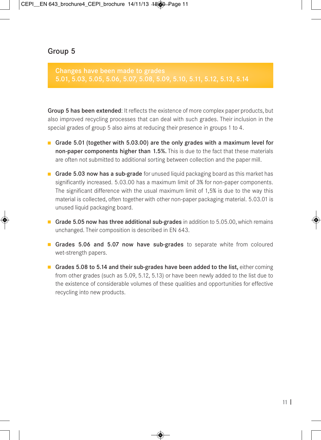Changes have been made to grades 5.01, 5.03, 5.05, 5.06, 5.07, 5.08, 5.09, 5.10, 5.11, 5.12, 5.13, 5.14

Group 5 has been extended: It reflects the existence of more complex paper products, but also improved recycling processes that can deal with such grades. Their inclusion in the special grades of group 5 also aims at reducing their presence in groups 1 to 4.

- Grade 5.01 (together with 5.03.00) are the only grades with a maximum level for non-paper components higher than 1.5%. This is due to the fact that these materials are often not submitted to additional sorting between collection and the paper mill.
- Grade 5.03 now has a sub-grade for unused liquid packaging board as this market has significantly increased. 5.03.00 has a maximum limit of 3% for non-paper components. The significant difference with the usual maximum limit of 1,5% is due to the way this material is collected, often together with other non-paper packaging material. 5.03.01 is unused liquid packaging board.
- Grade 5.05 now has three additional sub-grades in addition to 5.05.00, which remains unchanged. Their composition is described in EN 643.
- Grades 5.06 and 5.07 now have sub-grades to separate white from coloured wet-strength papers.
- Grades 5.08 to 5.14 and their sub-grades have been added to the list, either coming from other grades (such as 5.09, 5.12, 5.13) or have been newly added to the list due to the existence of considerable volumes of these qualities and opportunities for effective recycling into new products.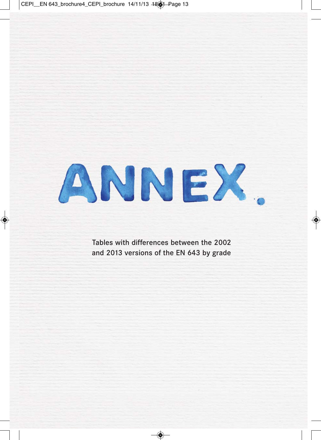

Tables with differences between the 2002 and 2013 versions of the EN 643 by grade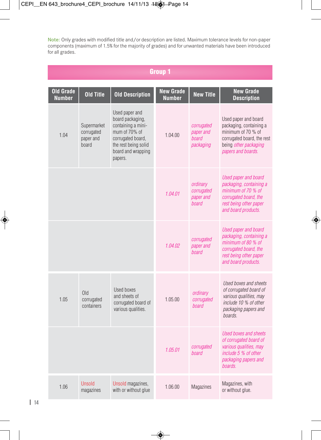Note: Only grades with modified title and/or description are listed. Maximum tolerance levels for non-paper components (maximum of 1.5% for the majority of grades) and for unwanted materials have been introduced for all grades.

|                            | <b>Group 1</b>                                  |                                                                                                                                                         |                                   |                                                      |                                                                                                                                                    |  |  |  |
|----------------------------|-------------------------------------------------|---------------------------------------------------------------------------------------------------------------------------------------------------------|-----------------------------------|------------------------------------------------------|----------------------------------------------------------------------------------------------------------------------------------------------------|--|--|--|
| Old Grade<br><b>Number</b> | <b>Old Title</b>                                | <b>Old Description</b>                                                                                                                                  | <b>New Grade</b><br><b>Number</b> | <b>New Title</b>                                     | <b>New Grade</b><br><b>Description</b>                                                                                                             |  |  |  |
| 1.04                       | Supermarket<br>corrugated<br>paper and<br>board | Used paper and<br>board packaging,<br>containing a mini-<br>mum of 70% of<br>corrugated board,<br>the rest being solid<br>board and wrapping<br>papers. | 1.04.00                           | corrugated<br>paper and<br><b>board</b><br>packaging | Used paper and board<br>packaging, containing a<br>minimum of 70 % of<br>corrugated board, the rest<br>being other packaging<br>papers and boards. |  |  |  |
|                            |                                                 |                                                                                                                                                         | 1.04.01                           | ordinary<br>corrugated<br>paper and<br>board         | Used paper and board<br>packaging, containing a<br>minimum of $70%$ of<br>corrugated board, the<br>rest being other paper<br>and board products.   |  |  |  |
|                            |                                                 |                                                                                                                                                         | 10402                             | corrugated<br>paper and<br>board                     | Used paper and board<br>packaging, containing a<br>minimum of 80 % of<br>corrugated board, the<br>rest being other paper<br>and board products.    |  |  |  |
| 1.05                       | O <sub>Id</sub><br>corrugated<br>containers     | <b>Used boxes</b><br>and sheets of<br>corrugated board of<br>various qualities.                                                                         | 1.05.00                           | ordinary<br>corrugated<br><b>board</b>               | Used boxes and sheets<br>of corrugated board of<br>various qualities, may<br>include 10 % of other<br>packaging papers and<br>boards.              |  |  |  |
|                            |                                                 |                                                                                                                                                         | 1.05.01                           | corrugated<br><b>board</b>                           | <b>Used boxes and sheets</b><br>of corrugated board of<br>various qualities, may<br>include 5 % of other<br>packaging papers and<br>boards.        |  |  |  |
| 106                        | Unsold<br>magazines                             | Unsold magazines,<br>with or without glue                                                                                                               | 1.06.00                           | Magazines                                            | Magazines, with<br>or without glue.                                                                                                                |  |  |  |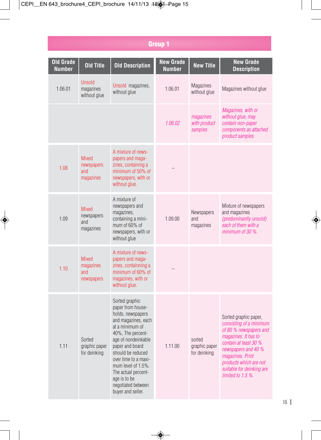| <b>Old Grade</b><br><b>Number</b> | Old Title                                      | <b>Old Description</b>                                                                                                                                                                                                                                                                                                 | <b>New Grade</b><br>Number | <b>New Title</b>                        | <b>New Grade</b><br><b>Description</b>                                                                                                                                                                                                             |
|-----------------------------------|------------------------------------------------|------------------------------------------------------------------------------------------------------------------------------------------------------------------------------------------------------------------------------------------------------------------------------------------------------------------------|----------------------------|-----------------------------------------|----------------------------------------------------------------------------------------------------------------------------------------------------------------------------------------------------------------------------------------------------|
| 1.06.01                           | <b>Unsold</b><br>magazines<br>without glue     | Unsold magazines,<br>without glue                                                                                                                                                                                                                                                                                      | 1.06.01                    | <b>Magazines</b><br>without glue        | Magazines without glue                                                                                                                                                                                                                             |
|                                   |                                                |                                                                                                                                                                                                                                                                                                                        | 1.06.02                    | magazines<br>with product<br>samples    | Magazines, with or<br>without glue, may<br>contain non-paper<br>components as attached<br>product samples.                                                                                                                                         |
| 1.08                              | <b>Mixed</b><br>newspapers<br>and<br>magazines | A mixture of news-<br>papers and maga-<br>zines, containing a<br>minimum of 50% of<br>newspapers, with or<br>without glue.                                                                                                                                                                                             |                            |                                         |                                                                                                                                                                                                                                                    |
| 1.09                              | <b>Mixed</b><br>newspapers<br>and<br>magazines | A mixture of<br>newspapers and<br>magazines,<br>containing a mini-<br>mum of 60% of<br>newspapers, with or<br>without glue                                                                                                                                                                                             | 1.09.00                    | Newspapers<br>and<br>magazines          | Mixture of newspapers<br>and magazines<br>(predominantly unsold)<br>each of them with a<br>minimum of $30\%$ .                                                                                                                                     |
| 1.10                              | <b>Mixed</b><br>magazines<br>and<br>newspapers | A mixture of news-<br>papers and maga-<br>zines, containning a<br>minimum of 60% of<br>magazines, with or<br>without glue.                                                                                                                                                                                             |                            |                                         |                                                                                                                                                                                                                                                    |
| 1.11                              | Sorted<br>graphic paper<br>for deinking        | Sorted graphic<br>paper from house-<br>holds, newspapers<br>and magazines, each<br>at a minimum of<br>40%, The percent-<br>age of nondeinkable<br>paper and board<br>should be reduced<br>over time to a maxi-<br>mum level of 1.5%.<br>The actual percent-<br>age is to be<br>negotiated between<br>buyer and seller. | 1.11.00                    | sorted<br>graphic paper<br>for deinking | Sorted graphic paper,<br>consisting of a minimum<br>of 80 % newspapers and<br>magazines. It has to<br>contain at least 30 %<br>newspapers and 40 %<br>magazines. Print<br>products which are not<br>suitable for deinking are<br>limited to 1.5 %. |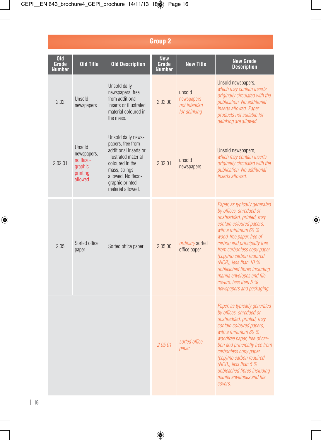| 0 <sub>Id</sub><br>Grade<br>Number | <b>Old Title</b>                                                     | <b>Old Description</b>                                                                                                                                                                     | <b>New</b><br><b>Grade</b><br><b>Number</b> | <b>New Title</b>                                     | <b>New Grade</b><br><b>Description</b>                                                                                                                                                                                                                                                                                                                                                                  |
|------------------------------------|----------------------------------------------------------------------|--------------------------------------------------------------------------------------------------------------------------------------------------------------------------------------------|---------------------------------------------|------------------------------------------------------|---------------------------------------------------------------------------------------------------------------------------------------------------------------------------------------------------------------------------------------------------------------------------------------------------------------------------------------------------------------------------------------------------------|
| 2.02                               | Unsold<br>newspapers                                                 | Unsold daily<br>newspapers, free<br>from additional<br>inserts or illustrated<br>material coloured in<br>the mass.                                                                         | 2.02.00                                     | unsold<br>newspapers<br>not intended<br>for deinking | Unsold newspapers,<br>which may contain inserts<br>originally circulated with the<br>publication. No additional<br>inserts allowed. Paper<br>products not suitable for<br>deinking are allowed.                                                                                                                                                                                                         |
| 20201                              | Unsold<br>newspapers,<br>no flexo-<br>graphic<br>printing<br>allowed | Unsold daily news-<br>papers, free from<br>additional inserts or<br>illustrated material<br>coloured in the<br>mass, strings<br>allowed. No flexo-<br>graphic printed<br>material allowed. | 20201                                       | unsold<br>newspapers                                 | Unsold newspapers,<br>which may contain inserts<br>originally circulated with the<br>publication. No additional<br>inserts allowed.                                                                                                                                                                                                                                                                     |
| 205                                | Sorted office<br>paper                                               | Sorted office paper                                                                                                                                                                        | 20500                                       | ordinary sorted<br>office paper                      | Paper, as typically generated<br>by offices, shredded or<br>unshredded, printed, may<br>contain coloured papers,<br>with a minimum 60 %<br>wood-free paper, free of<br>carbon and principally free<br>from carbonless copy paper<br>(ccp)/no carbon required<br>(NCR), less than 10 %<br>unbleached fibres including<br>manila envelopes and file<br>covers. less than 5 %<br>newspapers and packaging. |
|                                    |                                                                      |                                                                                                                                                                                            | 2.05.01                                     | sorted office<br>paper                               | Paper, as typically generated<br>by offices, shredded or<br>unshredded, printed, may<br>contain coloured papers,<br>with a minimum 80 $%$<br>woodfree paper, free of car-<br>bon and principally free from<br>carbonless copy paper<br>(ccp)/no carbon required<br>(NCR), less than $5%$<br>unbleached fibres including<br>manila envelopes and file<br>covers.                                         |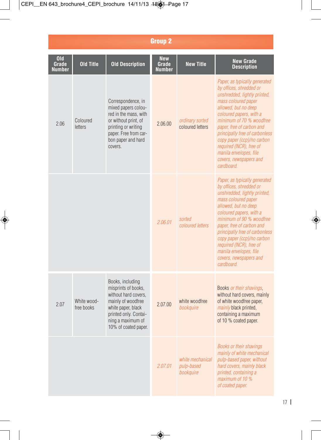| <b>Group 2</b>                |                           |                                                                                                                                                                                   |                               |                                             |                                                                                                                                                                                                                                                                                                                                                                                          |  |  |
|-------------------------------|---------------------------|-----------------------------------------------------------------------------------------------------------------------------------------------------------------------------------|-------------------------------|---------------------------------------------|------------------------------------------------------------------------------------------------------------------------------------------------------------------------------------------------------------------------------------------------------------------------------------------------------------------------------------------------------------------------------------------|--|--|
| <b>Old</b><br>Grade<br>Number | <b>Old Title</b>          | <b>Old Description</b>                                                                                                                                                            | <b>New</b><br>Grade<br>Number | <b>New Title</b>                            | <b>New Grade</b><br><b>Description</b>                                                                                                                                                                                                                                                                                                                                                   |  |  |
| 2.06                          | Coloured<br>letters       | Correspondence, in<br>mixed papers colou-<br>red in the mass, with<br>or without print, of<br>printing or writing<br>paper. Free from car-<br>bon paper and hard<br>covers.       | 2.06.00                       | ordinary sorted<br>coloured letters         | Paper, as typically generated<br>by offices, shredded or<br>unshredded, lightly printed,<br>mass coloured paper<br>allowed, but no deep<br>coloured papers, with a<br>minimum of 70 % woodfree<br>paper, free of carbon and<br>principally free of carbonless<br>copy paper (ccp)/no carbon<br>required (NCR), free of<br>manila envelopes, file<br>covers, newspapers and<br>cardboard. |  |  |
|                               |                           |                                                                                                                                                                                   | 2.06.01                       | sorted<br>coloured letters                  | Paper, as typically generated<br>by offices, shredded or<br>unshredded, lightly printed,<br>mass coloured paper<br>allowed, but no deep<br>coloured papers, with a<br>minimum of 90 % woodfree<br>paper, free of carbon and<br>principally free of carbonless<br>copy paper (ccp)/no carbon<br>required (NCR), free of<br>manila envelopes, file<br>covers, newspapers and<br>cardboard. |  |  |
| 2.07                          | White wood-<br>free books | Books, including<br>misprints of books,<br>without hard covers.<br>mainly of woodfree<br>white paper, black<br>printed only. Contai-<br>ning a maximum of<br>10% of coated paper. | 20700                         | white woodfree<br>bookquire                 | Books or their shavings,<br>without hard covers, mainly<br>of white woodfree paper,<br>mainly black printed,<br>containing a maximum<br>of 10 % coated paper.                                                                                                                                                                                                                            |  |  |
|                               |                           |                                                                                                                                                                                   | 2.07.01                       | white mechanical<br>pulp-based<br>bookquire | <b>Books or their shavings</b><br>mainly of white mechanical<br>pulp-based paper, without<br>hard covers, mainly black<br>printed, containing a<br>maximum of 10 %<br>of coated paper.                                                                                                                                                                                                   |  |  |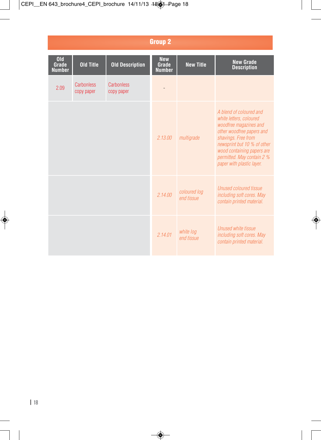| 0 <sub>Id</sub><br>Grade<br><b>Number</b> | <b>Old Title</b>         | <b>Old Description</b>   | <b>New</b><br>Grade<br><b>Number</b> | <b>New Title</b>           | <b>New Grade</b><br><b>Description</b>                                                                                                                                                                                                                   |
|-------------------------------------------|--------------------------|--------------------------|--------------------------------------|----------------------------|----------------------------------------------------------------------------------------------------------------------------------------------------------------------------------------------------------------------------------------------------------|
| 2.09                                      | Carbonless<br>copy paper | Carbonless<br>copy paper |                                      |                            |                                                                                                                                                                                                                                                          |
|                                           |                          |                          | 2.13.00                              | multigrade                 | A blend of coloured and<br>white letters, coloured<br>woodfree magazines and<br>other woodfree papers and<br>shavings. Free from<br>newsprint but 10 % of other<br>wood containing papers are<br>permitted. May contain 2 %<br>paper with plastic layer. |
|                                           |                          |                          | 21400                                | coloured log<br>end tissue | Unused coloured tissue<br>including soft cores. May<br>contain printed material.                                                                                                                                                                         |
|                                           |                          |                          | 2.14.01                              | white log<br>end tissue    | Unused white tissue<br>including soft cores. May<br>contain printed material.                                                                                                                                                                            |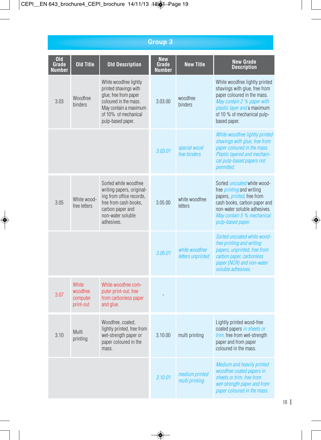| <b>Old</b><br>Grade<br><b>Number</b> | <b>Old Title</b>                                  | <b>Old Description</b>                                                                                                                                                  | <b>New</b><br>Grade<br><b>Number</b> | <b>New Title</b>                    | <b>New Grade</b><br><b>Description</b>                                                                                                                                                                                          |
|--------------------------------------|---------------------------------------------------|-------------------------------------------------------------------------------------------------------------------------------------------------------------------------|--------------------------------------|-------------------------------------|---------------------------------------------------------------------------------------------------------------------------------------------------------------------------------------------------------------------------------|
| 3.03                                 | Woodfree<br><b>binders</b>                        | White woodfree lightly<br>printed shavings with<br>glue, free from paper<br>coloured in the mass.<br>May contain a maximum<br>of 10% of mechanical<br>pulp-based paper. | 3.03.00                              | woodfree<br><b>binders</b>          | White woodfree lightly printed<br>shavings with glue, free from<br>paper coloured in the mass.<br>May contain 2 % paper with<br>plastic layer and a maximum<br>of 10 % of mechanical pulp-<br>based paper.                      |
|                                      |                                                   |                                                                                                                                                                         | 3.03.01                              | special wood<br>free binders        | White woodfree lightly printed<br>shavings with glue, free from<br>paper coloured in the mass.<br>Plastic layered and mechani-<br>cal pulp-based papers not<br>permitted.                                                       |
| 3.05                                 | White wood-<br>free letters                       | Sorted white woodfree<br>writing papers, originat-<br>ing from office records,<br>free from cash books.<br>carbon paper and<br>non-water soluble<br>adhesives.          | 3.05.00                              | white woodfree<br><b>letters</b>    | Sorted <i>uncoated</i> white wood-<br>free <i>printing</i> and writing<br>papers, <i>printed</i> , free from<br>cash books, carbon paper and<br>non-water soluble adhesives.<br>May contain 5 % mechanical<br>pulp-based paper. |
|                                      |                                                   |                                                                                                                                                                         | 3.05.01                              | white woodfree<br>letters unprinted | Sorted uncoated white wood-<br>free printing and writing<br>papers, unprinted, free from<br>carbon paper, carbonless<br>paper (NCR) and non-water<br>soluble adhesives.                                                         |
| 3.07                                 | <b>White</b><br>woodfree<br>computer<br>print-out | White woodfree com-<br>puter print-out, free<br>from carbonless paper<br>and glue.                                                                                      |                                      |                                     |                                                                                                                                                                                                                                 |
| 3.10                                 | Multi<br>printing                                 | Woodfree, coated,<br>lightly printed, free from<br>wet-strength paper or<br>paper coloured in the<br>mass.                                                              | 3.10.00                              | multi printing                      | Lightly printed wood-free<br>coated papers in sheets or<br>trim, free from wet-strength<br>paper and from paper<br>coloured in the mass.                                                                                        |
|                                      |                                                   |                                                                                                                                                                         | 3.10.01                              | medium printed<br>multi printing    | <b>Medium and heavily printed</b><br>woodfree coated papers in<br>sheets or trim, free from<br>wet-strength paper and from<br>paper coloured in the mass.                                                                       |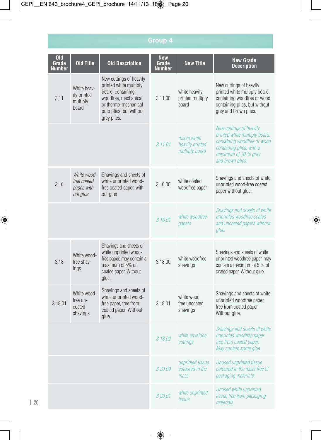| 0 <sub>Id</sub><br>Grade<br><b>Number</b> | <b>Old Title</b>                                       | <b>Old Description</b>                                                                                                                                           | <b>New</b><br>Grade<br><b>Number</b> | <b>New Title</b>                                 | <b>New Grade</b><br><b>Description</b>                                                                                                                          |
|-------------------------------------------|--------------------------------------------------------|------------------------------------------------------------------------------------------------------------------------------------------------------------------|--------------------------------------|--------------------------------------------------|-----------------------------------------------------------------------------------------------------------------------------------------------------------------|
| 3.11                                      | White heav-<br>ily printed<br>multiply<br>board        | New cuttings of heavily<br>printed white multiply<br>board, containing<br>woodfree, mechanical<br>or thermo-mechanical<br>pulp plies, but without<br>grey plies. | 3.11.00                              | white heavily<br>printed multiply<br>board       | New cuttings of heavily<br>printed white multiply board,<br>containing woodfree or wood<br>containing plies, but without<br>grey and brown plies.               |
|                                           |                                                        |                                                                                                                                                                  | 3.11.01                              | mixed white<br>heavily printed<br>multiply board | New cuttings of heavily<br>printed white multiply board.<br>containing woodfree or wood<br>containing plies, with a<br>maximum of 20 % grey<br>and brown plies. |
| 3.16                                      | White wood-<br>free coated<br>paper, with-<br>out glue | Shavings and sheets of<br>white unprinted wood-<br>free coated paper, with-<br>out glue                                                                          | 3.16.00                              | white coated<br>woodfree paper                   | Shavings and sheets of white<br>unprinted wood-free coated<br>paper without glue.                                                                               |
|                                           |                                                        |                                                                                                                                                                  | 3.16.01                              | white woodfree<br>papers                         | Shavings and sheets of white<br>unprinted woodfree coated<br>and uncoated papers without<br>glue.                                                               |
| 3.18                                      | White wood-<br>free shav-<br>ings                      | Shavings and sheets of<br>white unprinted wood-<br>free paper, may contain a<br>maximum of 5% of<br>coated paper. Without<br>glue.                               | 3.18.00                              | white woodfree<br>shavings                       | Shavings and sheets of white<br>unprinted woodfree paper, may<br>contain a maximum of 5 % of<br>coated paper. Without glue.                                     |
| 3.18.01                                   | White wood-<br>free un-<br>coated<br>shavings          | Shavings and sheets of<br>white unprinted wood-<br>free paper, free from<br>coated paper. Without<br>glue.                                                       | 3.18.01                              | white wood<br>free uncoated<br>shavings          | Shavings and sheets of white<br>unprinted woodfree paper,<br>free from coated paper.<br>Without glue.                                                           |
|                                           |                                                        |                                                                                                                                                                  | 31802                                | white envelope<br>cuttings                       | Shavings and sheets of white<br>unprinted woodfree paper,<br>free from coated paper.<br>May contain some glue.                                                  |
|                                           |                                                        |                                                                                                                                                                  | 3.20.00                              | unprinted tissue<br>coloured in the<br>mass      | <b>Unused unprinted tissue</b><br>coloured in the mass free of<br>packaging materials.                                                                          |
|                                           |                                                        |                                                                                                                                                                  | 3.20.01                              | white unprinted<br>tissue                        | Unused white unprinted<br>tissue free from packaging<br>materials.                                                                                              |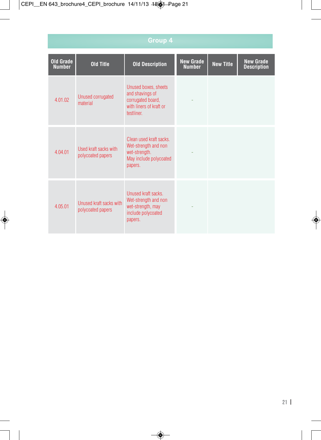|                                   | Group 4                                      |                                                                                                       |                                   |                  |                                        |  |  |  |
|-----------------------------------|----------------------------------------------|-------------------------------------------------------------------------------------------------------|-----------------------------------|------------------|----------------------------------------|--|--|--|
| <b>Old Grade</b><br><b>Number</b> | Old Title                                    | <b>Old Description</b>                                                                                | <b>New Grade</b><br><b>Number</b> | <b>New Title</b> | <b>New Grade</b><br><b>Description</b> |  |  |  |
| 4 01 02                           | Unused corrugated<br>material                | Unused boxes, sheets<br>and shavings of<br>corrugated board,<br>with liners of kraft or<br>testliner  |                                   |                  |                                        |  |  |  |
| 4.04.01                           | Used kraft sacks with<br>polycoated papers   | Clean used kraft sacks.<br>Wet-strength and non<br>wet-strength.<br>May include polycoated<br>papers. |                                   |                  |                                        |  |  |  |
| 4 05 01                           | Unused kraft sacks with<br>polycoated papers | Unused kraft sacks.<br>Wet-strength and non<br>wet-strength, may<br>include polycoated<br>papers.     |                                   |                  |                                        |  |  |  |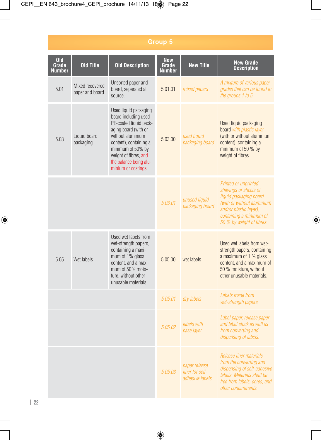| 0 <sub>Id</sub><br>Grade<br><b>Number</b> | <b>Old Title</b>                   | <b>Old Description</b>                                                                                                                                                                                                                        | <b>New</b><br>Grade<br><b>Number</b> | <b>New Title</b>                                    | <b>New Grade</b><br><b>Description</b>                                                                                                                                                  |
|-------------------------------------------|------------------------------------|-----------------------------------------------------------------------------------------------------------------------------------------------------------------------------------------------------------------------------------------------|--------------------------------------|-----------------------------------------------------|-----------------------------------------------------------------------------------------------------------------------------------------------------------------------------------------|
| 5.01                                      | Mixed recovered<br>paper and board | Unsorted paper and<br>board, separated at<br>source.                                                                                                                                                                                          | 5.01.01                              | mixed papers                                        | A mixture of various paper<br>grades that can be found in<br>the groups 1 to 5.                                                                                                         |
| 5.03                                      | Liquid board<br>packaging          | Used liquid packaging<br>board including used<br>PE-coated liquid pack-<br>aging board (with or<br>without aluminium<br>content), containing a<br>minimum of 50% by<br>weight of fibres, and<br>the balance being alu-<br>minium or coatings. | 5.03.00                              | used liquid<br>packaging board                      | Used liquid packaging<br>board with plastic layer<br>(with or without aluminium<br>content), containing a<br>minimum of 50 % by<br>weight of fibres.                                    |
|                                           |                                    |                                                                                                                                                                                                                                               | 5.03.01                              | unused liquid<br>packaging board                    | Printed or unprinted<br>shavings or sheets of<br>liquid packaging board<br>(with or without aluminium<br>and/or plastic layer),<br>containing a minimum of<br>50 % by weight of fibres. |
| 505                                       | Wet labels                         | Used wet labels from<br>wet-strength papers,<br>containing a maxi-<br>mum of 1% glass<br>content, and a maxi-<br>mum of 50% mois-<br>ture, without other<br>unusable materials.                                                               | 50500                                | wet labels                                          | Used wet labels from wet-<br>strength papers, containing<br>a maximum of 1 % glass<br>content, and a maximum of<br>50 % moisture, without<br>other unusable materials.                  |
|                                           |                                    |                                                                                                                                                                                                                                               | 5.05.01                              | dry labels                                          | Labels made from<br>wet-strength papers.                                                                                                                                                |
|                                           |                                    |                                                                                                                                                                                                                                               | 5.05.02                              | labels with<br>base layer                           | Label paper, release paper<br>and label stock as well as<br>from converting and<br>dispensing of labels.                                                                                |
|                                           |                                    |                                                                                                                                                                                                                                               | 5.05.03                              | paper release<br>liner for self-<br>adhesive labels | Release liner materials<br>from the converting and<br>dispensing of self-adhesive<br>labels. Materials shall be<br>free from labels, cores, and<br>other contaminants.                  |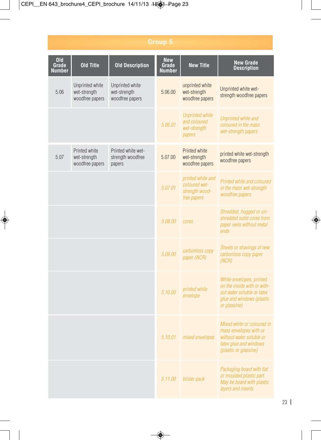| <b>Old</b><br>Grade<br><b>Number</b> | <b>Old Title</b>                                   | <b>Old Description</b>                             | <b>New</b><br>Grade<br><b>Number</b> | <b>New Title</b>                                                    | <b>New Grade</b><br><b>Description</b>                                                                                              |
|--------------------------------------|----------------------------------------------------|----------------------------------------------------|--------------------------------------|---------------------------------------------------------------------|-------------------------------------------------------------------------------------------------------------------------------------|
| 5.06                                 | Unprinted white<br>wet-strength<br>woodfree papers | Unprinted white<br>wet-strength<br>woodfree papers | 5.06.00                              | unprinted white<br>wet-strength<br>woodfree papers                  | Unprinted white wet-<br>strength woodfree papers                                                                                    |
|                                      |                                                    |                                                    | 5.06.01                              | <b>Unprinted white</b><br>and coloured<br>wet-strength<br>papers    | Unprinted white and<br>coloured in the mass<br>wet-strength papers                                                                  |
| 5.07                                 | Printed white<br>wet-strength<br>woodfree papers   | Printed white wet-<br>strength woodfree<br>papers  | 5.07.00                              | Printed white<br>wet-strength<br>woodfree papers                    | printed white wet-strength<br>woodfree papers                                                                                       |
|                                      |                                                    |                                                    | 5.07.01                              | printed white and<br>coloured wet-<br>strength wood-<br>free papers | Printed white and coloured<br>in the mass wet-strength<br>woodfree papers                                                           |
|                                      |                                                    |                                                    | 5.08.00                              | cores                                                               | Shredded, hogged or un-<br>shredded solid cores from<br>paper reels without metal<br>ends                                           |
|                                      |                                                    |                                                    | 5.09.00                              | carbonless copy<br>paper (NCR)                                      | Sheets or shavings of new<br>carbonless copy paper<br>(NCR)                                                                         |
|                                      |                                                    |                                                    | 5.10.00                              | printed white<br>envelope                                           | White envelopes, printed<br>on the inside with or with-<br>out water soluble or latex<br>glue and windows (plastic<br>or glassine)  |
|                                      |                                                    |                                                    | 5.10.01                              | mixed envelopes                                                     | Mixed white or coloured in<br>mass envelopes with or<br>without water soluble or<br>latex glue and windows<br>(plastic or glassine) |
|                                      |                                                    |                                                    | 5.11.00                              | blister pack                                                        | Packaging board with flat<br>or moulded plastic part.<br>May be board with plastic<br>layers and inserts                            |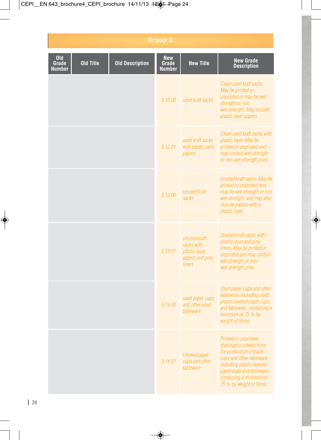| 0 <sub>Id</sub><br>Grade<br><b>Number</b> | <b>Old Title</b> | <b>Old Description</b> | <b>New</b><br>Grade<br>Number | <b>New Title</b>                                                                | <b>New Grade</b><br><b>Description</b>                                                                                                                                                                                           |
|-------------------------------------------|------------------|------------------------|-------------------------------|---------------------------------------------------------------------------------|----------------------------------------------------------------------------------------------------------------------------------------------------------------------------------------------------------------------------------|
|                                           |                  |                        | 5.12.00                       | used kraft sacks                                                                | Clean used kraft sacks.<br>May be printed or<br>unprinted or may be wet<br>strength or non<br>wet-strength. May include<br>plastic layer papers.                                                                                 |
|                                           |                  |                        | 5.12.01                       | used kraft sacks<br>with plastic layer<br>papers                                | Clean used kraft sacks with<br>plastic layer. May be<br>printed or unprinted and<br>may contain wet-strength<br>or non wet-strength plies.                                                                                       |
|                                           |                  |                        | 5.13.00                       | unused kraft<br>sacks                                                           | Unused kraft sacks. May be<br>printed or unprinted and<br>may be wet-strength or non<br>wet-strength, and may also<br>include papers with a<br>plastic layer.                                                                    |
|                                           |                  |                        | 5.13.01                       | unused kraft<br>sacks with<br>plastic layer<br>papers and poly<br><i>liners</i> | Unused kraft sacks with<br>plastic layer and poly<br>liners. May be printed or<br>unprinted and may contain<br>wet-strength or non-<br>wet-strength plies.                                                                       |
|                                           |                  |                        | 5.14.00                       | used paper cups<br>and other used<br>tableware                                  | Used paper cups and other<br>tableware, including used<br>plastic layered paper cups<br>and tableware, containing a<br>minimum of 75 % by<br>weight of fibres.                                                                   |
|                                           |                  |                        | 5.14.01                       | <b>Unused paper</b><br>cups and other<br>tableware                              | <b>Printed or unprinted</b><br>shavings or sheets from<br>the production of paper<br>cups and other tableware,<br>including plastic layered<br>paper cups and tableware,<br>containing a minimum of<br>75 % by weight of fibres. |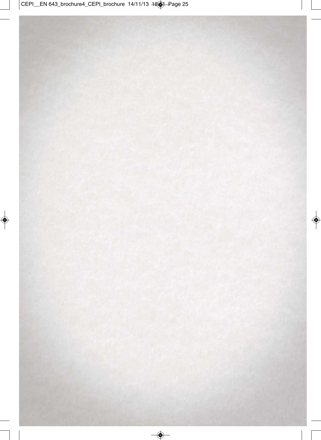